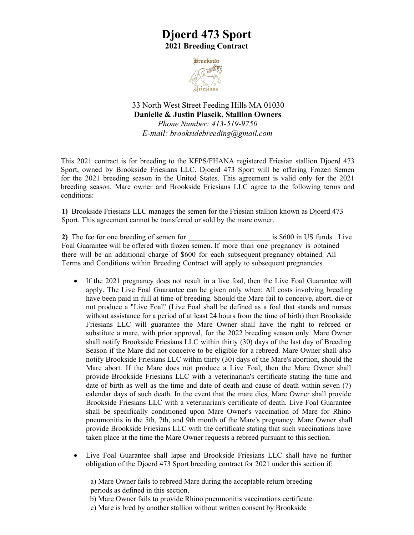## **Djoerd 473 Sport 2021 Breeding Contract**



33 North West Street Feeding Hills MA 01030 **Danielle & Justin Piascik, Stallion Owners**  *Phone Number: 413-519-9750*

*E-mail: [brooksidebreeding@gmail.com](mailto:brooksidebreeding@gmail.com)*

This 2021 contract is for breeding to the KFPS/FHANA registered Friesian stallion Djoerd 473 Sport, owned by Brookside Friesians LLC. Djoerd 473 Sport will be offering Frozen Semen for the 2021 breeding season in the United States. This agreement is valid only for the 2021 breeding season. Mare owner and Brookside Friesians LLC agree to the following terms and conditions:

**1)** Brookside Friesians LLC manages the semen for the Friesian stallion known as Djoerd 473 Sport. This agreement cannot be transferred or sold by the mare owner.

2) The fee for one breeding of semen for **all is \$600** in US funds . Live Foal Guarantee will be offered with frozen semen. If more than one pregnancy is obtained there will be an additional charge of \$600 for each subsequent pregnancy obtained. All Terms and Conditions within Breeding Contract will apply to subsequent pregnancies.

- If the 2021 pregnancy does not result in a live foal, then the Live Foal Guarantee will apply. The Live Foal Guarantee can be given only when: All costs involving breeding have been paid in full at time of breeding. Should the Mare fail to conceive, abort, die or not produce a "Live Foal" (Live Foal shall be defined as a foal that stands and nurses without assistance for a period of at least 24 hours from the time of birth) then Brookside Friesians LLC will guarantee the Mare Owner shall have the right to rebreed or substitute a mare, with prior approval, for the 2022 breeding season only. Mare Owner shall notify Brookside Friesians LLC within thirty (30) days of the last day of Breeding Season if the Mare did not conceive to be eligible for a rebreed. Mare Owner shall also notify Brookside Friesians LLC within thirty (30) days of the Mare's abortion, should the Mare abort. If the Mare does not produce a Live Foal, then the Mare Owner shall provide Brookside Friesians LLC with a veterinarian's certificate stating the time and date of birth as well as the time and date of death and cause of death within seven (7) calendar days of such death. In the event that the mare dies, Mare Owner shall provide Brookside Friesians LLC with a veterinarian's certificate of death. Live Foal Guarantee shall be specifically conditioned upon Mare Owner's vaccination of Mare for Rhino pneumonitis in the 5th, 7th, and 9th month of the Mare's pregnancy. Mare Owner shall provide Brookside Friesians LLC with the certificate stating that such vaccinations have taken place at the time the Mare Owner requests a rebreed pursuant to this section.
- Live Foal Guarantee shall lapse and Brookside Friesians LLC shall have no further obligation of the Djoerd 473 Sport breeding contract for 2021 under this section if:

a) Mare Owner fails to rebreed Mare during the acceptable return breeding periods as defined in this section.

b) Mare Owner fails to provide Rhino pneumonitis vaccinations certificate.

c) Mare is bred by another stallion without written consent by Brookside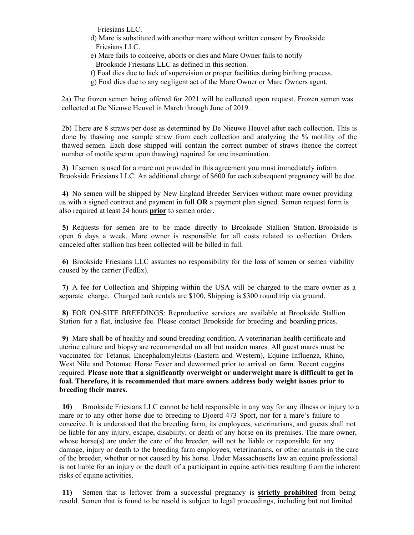Friesians LLC.

- d) Mare is substituted with another mare without written consent by Brookside Friesians LLC.
- e) Mare fails to conceive, aborts or dies and Mare Owner fails to notify Brookside Friesians LLC as defined in this section.
- f) Foal dies due to lack of supervision or proper facilities during birthing process.
- g) Foal dies due to any negligent act of the Mare Owner or Mare Owners agent.

2a) The frozen semen being offered for 2021 will be collected upon request. Frozen semen was collected at De Nieuwe Heuvel in March through June of 2019.

2b) There are 8 straws per dose as determined by De Nieuwe Heuvel after each collection. This is done by thawing one sample straw from each collection and analyzing the % motility of the thawed semen. Each dose shipped will contain the correct number of straws (hence the correct number of motile sperm upon thawing) required for one insemination.

**3)** If semen is used for a mare not provided in this agreement you must immediately inform Brookside Friesians LLC. An additional charge of \$600 for each subsequent pregnancy will be due.

**4)** No semen will be shipped by New England Breeder Services without mare owner providing us with a signed contract and payment in full **OR** a payment plan signed. Semen request form is also required at least 24 hours **prior** to semen order.

**5)** Requests for semen are to be made directly to Brookside Stallion Station. Brookside is open 6 days a week. Mare owner is responsible for all costs related to collection. Orders canceled after stallion has been collected will be billed in full.

**6)** Brookside Friesians LLC assumes no responsibility for the loss of semen or semen viability caused by the carrier (FedEx).

**7)** A fee for Collection and Shipping within the USA will be charged to the mare owner as a separate charge. Charged tank rentals are \$100, Shipping is \$300 round trip via ground.

**8)** FOR ON-SITE BREEDINGS: Reproductive services are available at Brookside Stallion Station for a flat, inclusive fee. Please contact Brookside for breeding and boarding prices.

**9)** Mare shall be of healthy and sound breeding condition. A veterinarian health certificate and uterine culture and biopsy are recommended on all but maiden mares. All guest mares must be vaccinated for Tetanus, Encephalomylelitis (Eastern and Western), Equine Influenza, Rhino, West Nile and Potomac Horse Fever and dewormed prior to arrival on farm. Recent coggins required. **Please note that a significantly overweight or underweight mare is difficult to get in foal. Therefore, it is recommended that mare owners address body weight issues prior to breeding their mares.**

**10)** Brookside Friesians LLC cannot be held responsible in any way for any illness or injury to a mare or to any other horse due to breeding to Djoerd 473 Sport, nor for a mare's failure to conceive. It is understood that the breeding farm, its employees, veterinarians, and guests shall not be liable for any injury, escape, disability, or death of any horse on its premises. The mare owner, whose horse(s) are under the care of the breeder, will not be liable or responsible for any damage, injury or death to the breeding farm employees, veterinarians, or other animals in the care of the breeder, whether or not caused by his horse. Under Massachusetts law an equine professional is not liable for an injury or the death of a participant in equine activities resulting from the inherent risks of equine activities.

**11)** Semen that is leftover from a successful pregnancy is **strictly prohibited** from being resold. Semen that is found to be resold is subject to legal proceedings, including but not limited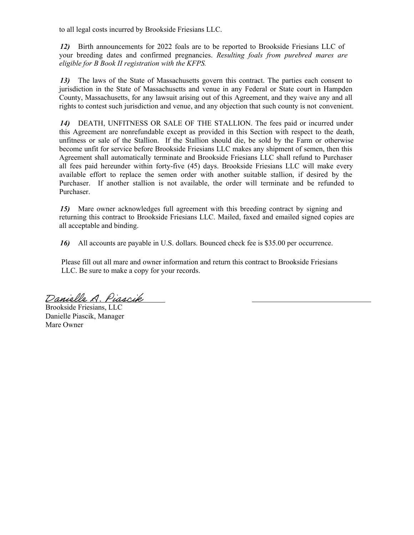to all legal costs incurred by Brookside Friesians LLC.

*12)* Birth announcements for 2022 foals are to be reported to Brookside Friesians LLC of your breeding dates and confirmed pregnancies. *Resulting foals from purebred mares are eligible for B Book II registration with the KFPS.*

*13)* The laws of the State of Massachusetts govern this contract. The parties each consent to jurisdiction in the State of Massachusetts and venue in any Federal or State court in Hampden County, Massachusetts, for any lawsuit arising out of this Agreement, and they waive any and all rights to contest such jurisdiction and venue, and any objection that such county is not convenient.

*14)* DEATH, UNFITNESS OR SALE OF THE STALLION. The fees paid or incurred under this Agreement are nonrefundable except as provided in this Section with respect to the death, unfitness or sale of the Stallion. If the Stallion should die, be sold by the Farm or otherwise become unfit for service before Brookside Friesians LLC makes any shipment of semen, then this Agreement shall automatically terminate and Brookside Friesians LLC shall refund to Purchaser all fees paid hereunder within forty-five (45) days. Brookside Friesians LLC will make every available effort to replace the semen order with another suitable stallion, if desired by the Purchaser. If another stallion is not available, the order will terminate and be refunded to Purchaser.

*15)* Mare owner acknowledges full agreement with this breeding contract by signing and returning this contract to Brookside Friesians LLC. Mailed, faxed and emailed signed copies are all acceptable and binding.

*16)* All accounts are payable in U.S. dollars. Bounced check fee is \$35.00 per occurrence.

Please fill out all mare and owner information and return this contract to Brookside Friesians LLC. Be sure to make a copy for your records.

Danielle A. Piascik

Brookside Friesians, LLC Danielle Piascik, Manager Mare Owner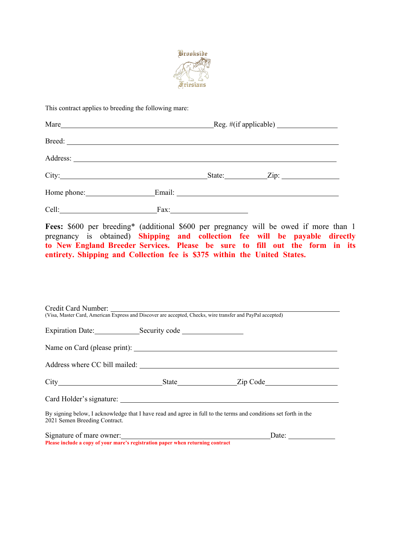

This contract applies to breeding the following mare:

| Mare                                                                                                                                                                                                                                | $\text{Reg. } \# \text{(if applicable)}$ |  |                    |  |
|-------------------------------------------------------------------------------------------------------------------------------------------------------------------------------------------------------------------------------------|------------------------------------------|--|--------------------|--|
| Breed:                                                                                                                                                                                                                              |                                          |  |                    |  |
| Address: <u>Note</u> 2008. The second service of the service of the service of the series of the series of the series of the series of the series of the series of the series of the series of the series of the series of the seri |                                          |  |                    |  |
|                                                                                                                                                                                                                                     |                                          |  | State: <u>Zip:</u> |  |
| Home phone: 1999                                                                                                                                                                                                                    |                                          |  |                    |  |
| Cell:                                                                                                                                                                                                                               | Fax:                                     |  |                    |  |

**Fees:** \$600 per breeding\* (additional \$600 per pregnancy will be owed if more than 1 pregnancy is obtained) **Shipping and collection fee will be payable directly to New England Breeder Services. Please be sure to fill out the form in its entirety. Shipping and Collection fee is \$375 within the United States.** 

| Credit Card Number:<br>(Visa, Master Card, American Express and Discover are accepted, Checks, wire transfer and PayPal accepted) |                                                                                                                 |  |
|-----------------------------------------------------------------------------------------------------------------------------------|-----------------------------------------------------------------------------------------------------------------|--|
|                                                                                                                                   |                                                                                                                 |  |
|                                                                                                                                   |                                                                                                                 |  |
|                                                                                                                                   |                                                                                                                 |  |
|                                                                                                                                   |                                                                                                                 |  |
|                                                                                                                                   |                                                                                                                 |  |
|                                                                                                                                   |                                                                                                                 |  |
| 2021 Semen Breeding Contract.                                                                                                     | By signing below, I acknowledge that I have read and agree in full to the terms and conditions set forth in the |  |
| Signature of mare owner:                                                                                                          | Date: $\qquad \qquad$                                                                                           |  |
| Please include a copy of your mare's registration paper when returning contract                                                   |                                                                                                                 |  |